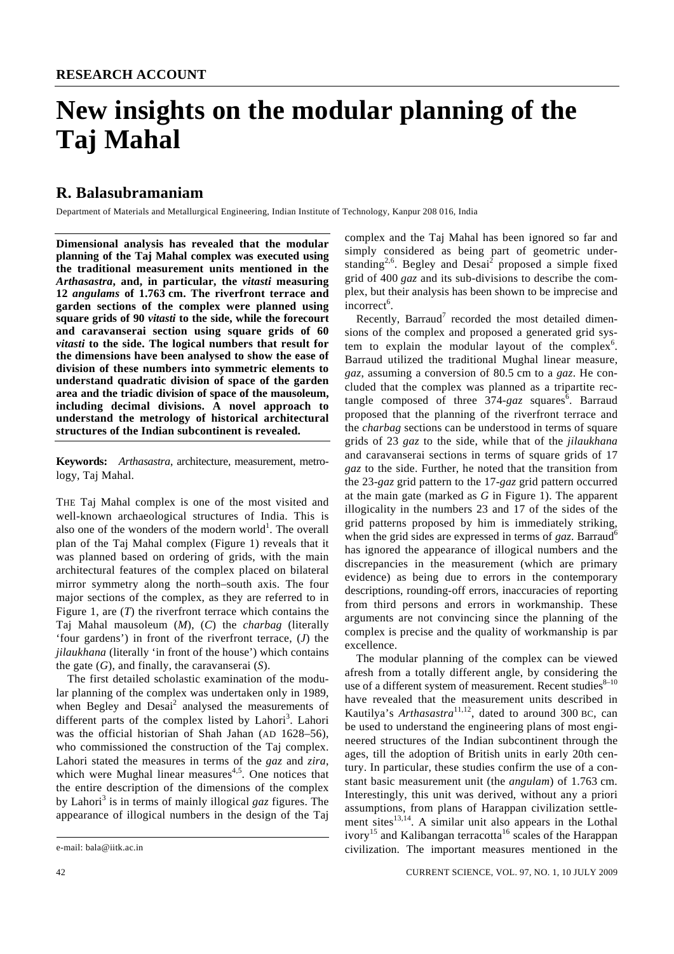# **New insights on the modular planning of the Taj Mahal**

## **R. Balasubramaniam**

Department of Materials and Metallurgical Engineering, Indian Institute of Technology, Kanpur 208 016, India

**Dimensional analysis has revealed that the modular planning of the Taj Mahal complex was executed using the traditional measurement units mentioned in the**  *Arthasastra***, and, in particular, the** *vitasti* **measuring 12** *angulams* **of 1.763 cm. The riverfront terrace and garden sections of the complex were planned using square grids of 90** *vitasti* **to the side, while the forecourt and caravanserai section using square grids of 60**  *vitasti* **to the side. The logical numbers that result for the dimensions have been analysed to show the ease of division of these numbers into symmetric elements to understand quadratic division of space of the garden area and the triadic division of space of the mausoleum, including decimal divisions. A novel approach to understand the metrology of historical architectural structures of the Indian subcontinent is revealed.** 

**Keywords:** *Arthasastra*, architecture, measurement, metrology, Taj Mahal.

THE Taj Mahal complex is one of the most visited and well-known archaeological structures of India. This is also one of the wonders of the modern world<sup>1</sup>. The overall plan of the Taj Mahal complex (Figure 1) reveals that it was planned based on ordering of grids, with the main architectural features of the complex placed on bilateral mirror symmetry along the north–south axis. The four major sections of the complex, as they are referred to in Figure 1, are (*T*) the riverfront terrace which contains the Taj Mahal mausoleum (*M*), (*C*) the *charbag* (literally 'four gardens') in front of the riverfront terrace, (*J*) the *jilaukhana* (literally 'in front of the house') which contains the gate (*G*), and finally, the caravanserai (*S*).

 The first detailed scholastic examination of the modular planning of the complex was undertaken only in 1989, when Begley and  $Desai<sup>2</sup>$  analysed the measurements of different parts of the complex listed by Lahori<sup>3</sup>. Lahori was the official historian of Shah Jahan (AD 1628–56), who commissioned the construction of the Taj complex. Lahori stated the measures in terms of the *gaz* and *zira*, which were Mughal linear measures<sup> $4,5$ </sup>. One notices that the entire description of the dimensions of the complex by Lahori<sup>3</sup> is in terms of mainly illogical *gaz* figures. The appearance of illogical numbers in the design of the Taj

complex and the Taj Mahal has been ignored so far and simply considered as being part of geometric understanding<sup>2,6</sup>. Begley and Desai<sup>2</sup> proposed a simple fixed grid of 400 *gaz* and its sub-divisions to describe the complex, but their analysis has been shown to be imprecise and  $\frac{1}{2}$ incorrect<sup>6</sup>.

Recently, Barraud<sup>7</sup> recorded the most detailed dimensions of the complex and proposed a generated grid system to explain the modular layout of the complex<sup>6</sup>. Barraud utilized the traditional Mughal linear measure, *gaz*, assuming a conversion of 80.5 cm to a *gaz*. He concluded that the complex was planned as a tripartite rectangle composed of three  $374$ -gaz squares<sup>6</sup>. Barraud proposed that the planning of the riverfront terrace and the *charbag* sections can be understood in terms of square grids of 23 *gaz* to the side, while that of the *jilaukhana* and caravanserai sections in terms of square grids of 17 *gaz* to the side. Further, he noted that the transition from the 23-*gaz* grid pattern to the 17-*gaz* grid pattern occurred at the main gate (marked as *G* in Figure 1). The apparent illogicality in the numbers 23 and 17 of the sides of the grid patterns proposed by him is immediately striking, when the grid sides are expressed in terms of *gaz*. Barraud<sup>6</sup> has ignored the appearance of illogical numbers and the discrepancies in the measurement (which are primary evidence) as being due to errors in the contemporary descriptions, rounding-off errors, inaccuracies of reporting from third persons and errors in workmanship. These arguments are not convincing since the planning of the complex is precise and the quality of workmanship is par excellence.

 The modular planning of the complex can be viewed afresh from a totally different angle, by considering the use of a different system of measurement. Recent studies $8-10$ have revealed that the measurement units described in Kautilya's *Arthasastra*<sup>11,12</sup>, dated to around 300 BC, can be used to understand the engineering plans of most engineered structures of the Indian subcontinent through the ages, till the adoption of British units in early 20th century. In particular, these studies confirm the use of a constant basic measurement unit (the *angulam*) of 1.763 cm. Interestingly, this unit was derived, without any a priori assumptions, from plans of Harappan civilization settlement sites $13,14$ . A similar unit also appears in the Lothal ivory<sup>15</sup> and Kalibangan terracotta<sup>16</sup> scales of the Harappan civilization. The important measures mentioned in the

e-mail: bala@iitk.ac.in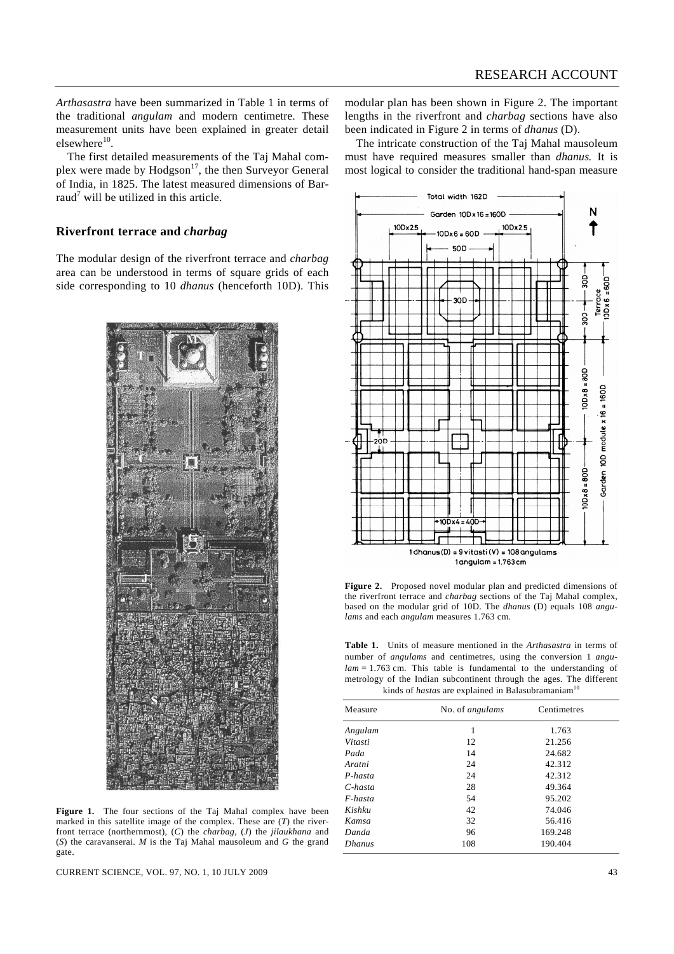*Arthasastra* have been summarized in Table 1 in terms of the traditional *angulam* and modern centimetre. These measurement units have been explained in greater detail elsewhere<sup>10</sup>.

 The first detailed measurements of the Taj Mahal complex were made by  $Hodgeson<sup>17</sup>$ , the then Surveyor General of India, in 1825. The latest measured dimensions of Barraud<sup>7</sup> will be utilized in this article.

## **Riverfront terrace and** *charbag*

The modular design of the riverfront terrace and *charbag* area can be understood in terms of square grids of each side corresponding to 10 *dhanus* (henceforth 10D). This



**Figure 1.** The four sections of the Taj Mahal complex have been marked in this satellite image of the complex. These are (*T*) the riverfront terrace (northernmost), (*C*) the *charbag*, (*J*) the *jilaukhana* and (*S*) the caravanserai. *M* is the Taj Mahal mausoleum and *G* the grand gate.

CURRENT SCIENCE, VOL. 97, NO. 1, 10 JULY 2009 43

modular plan has been shown in Figure 2. The important lengths in the riverfront and *charbag* sections have also been indicated in Figure 2 in terms of *dhanus* (D).

 The intricate construction of the Taj Mahal mausoleum must have required measures smaller than *dhanus.* It is most logical to consider the traditional hand-span measure



**Figure 2.** Proposed novel modular plan and predicted dimensions of the riverfront terrace and *charbag* sections of the Taj Mahal complex, based on the modular grid of 10D. The *dhanus* (D) equals 108 *angulams* and each *angulam* measures 1.763 cm.

**Table 1.** Units of measure mentioned in the *Arthasastra* in terms of number of *angulams* and centimetres, using the conversion 1 *angulam* = 1.763 cm. This table is fundamental to the understanding of metrology of the Indian subcontinent through the ages. The different kinds of *hastas* are explained in Balasubramaniam<sup>10</sup>

| Measure       | No. of angulams | Centimetres |  |
|---------------|-----------------|-------------|--|
| Angulam       | 1               | 1.763       |  |
| Vitasti       | 12              | 21.256      |  |
| Pada          | 14              | 24.682      |  |
| Aratni        | 24              | 42.312      |  |
| $P$ -hasta    | 24              | 42.312      |  |
| $C$ -hasta    | 28              | 49.364      |  |
| $F$ -hasta    | 54              | 95.202      |  |
| Kishku        | 42              | 74.046      |  |
| Kamsa         | 32              | 56.416      |  |
| Danda         | 96              | 169.248     |  |
| <b>Dhanus</b> | 108             | 190.404     |  |
|               |                 |             |  |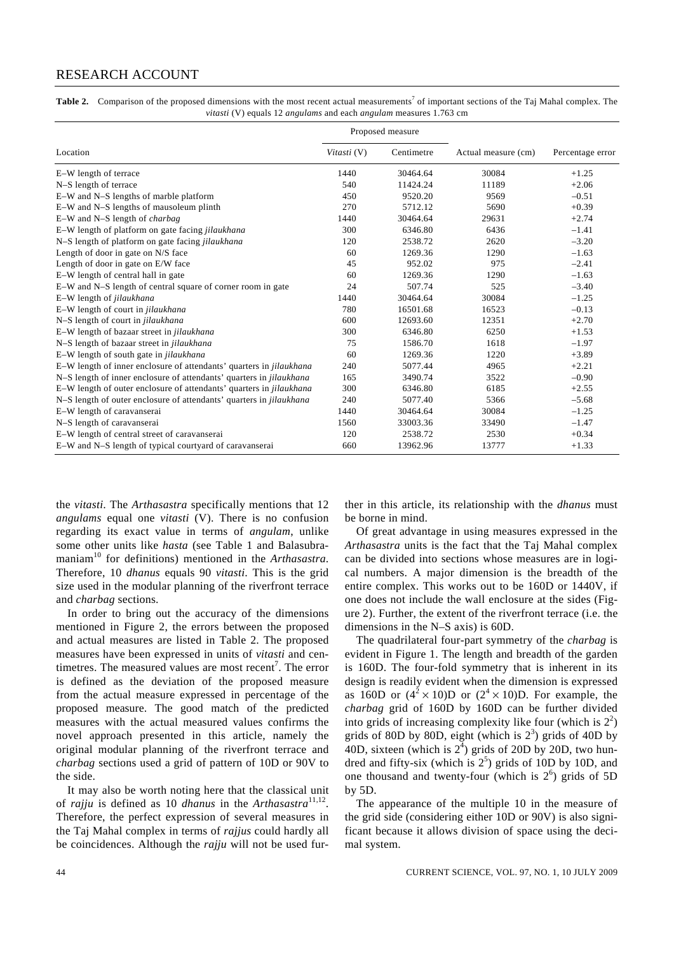## RESEARCH ACCOUNT

Table 2. Comparison of the proposed dimensions with the most recent actual measurements<sup>7</sup> of important sections of the Taj Mahal complex. The *vitasti* (V) equals 12 *angulams* and each *angulam* measures 1.763 cm

|                                                                            |             | Proposed measure |                     |                  |
|----------------------------------------------------------------------------|-------------|------------------|---------------------|------------------|
| Location                                                                   | Vitasti (V) | Centimetre       | Actual measure (cm) | Percentage error |
| E-W length of terrace                                                      | 1440        | 30464.64         | 30084               | $+1.25$          |
| N-S length of terrace                                                      | 540         | 11424.24         | 11189               | $+2.06$          |
| E-W and N-S lengths of marble platform                                     | 450         | 9520.20          | 9569                | $-0.51$          |
| E-W and N-S lengths of mausoleum plinth                                    | 270         | 5712.12          | 5690                | $+0.39$          |
| E-W and N-S length of <i>charbag</i>                                       | 1440        | 30464.64         | 29631               | $+2.74$          |
| E-W length of platform on gate facing <i>jilaukhana</i>                    | 300         | 6346.80          | 6436                | $-1.41$          |
| N-S length of platform on gate facing jilaukhana                           | 120         | 2538.72          | 2620                | $-3.20$          |
| Length of door in gate on N/S face                                         | 60          | 1269.36          | 1290                | $-1.63$          |
| Length of door in gate on E/W face                                         | 45          | 952.02           | 975                 | $-2.41$          |
| E-W length of central hall in gate                                         | 60          | 1269.36          | 1290                | $-1.63$          |
| E-W and N-S length of central square of corner room in gate                | 24          | 507.74           | 525                 | $-3.40$          |
| E-W length of jilaukhana                                                   | 1440        | 30464.64         | 30084               | $-1.25$          |
| E-W length of court in jilaukhana                                          | 780         | 16501.68         | 16523               | $-0.13$          |
| N-S length of court in jilaukhana                                          | 600         | 12693.60         | 12351               | $+2.70$          |
| E-W length of bazaar street in <i>jilaukhana</i>                           | 300         | 6346.80          | 6250                | $+1.53$          |
| N-S length of bazaar street in jilaukhana                                  | 75          | 1586.70          | 1618                | $-1.97$          |
| E-W length of south gate in <i>jilaukhana</i>                              | 60          | 1269.36          | 1220                | $+3.89$          |
| E-W length of inner enclosure of attendants' quarters in jilaukhana        | 240         | 5077.44          | 4965                | $+2.21$          |
| N-S length of inner enclosure of attendants' quarters in jilaukhana        | 165         | 3490.74          | 3522                | $-0.90$          |
| E-W length of outer enclosure of attendants' quarters in <i>jilaukhana</i> | 300         | 6346.80          | 6185                | $+2.55$          |
| N-S length of outer enclosure of attendants' quarters in <i>jilaukhana</i> | 240         | 5077.40          | 5366                | $-5.68$          |
| E-W length of caravanserai                                                 | 1440        | 30464.64         | 30084               | $-1.25$          |
| N-S length of caravanserai                                                 | 1560        | 33003.36         | 33490               | $-1.47$          |
| E-W length of central street of caravanserai                               | 120         | 2538.72          | 2530                | $+0.34$          |
| E-W and N-S length of typical courtyard of caravanserai                    | 660         | 13962.96         | 13777               | $+1.33$          |

the *vitasti*. The *Arthasastra* specifically mentions that 12 *angulams* equal one *vitasti* (V). There is no confusion regarding its exact value in terms of *angulam*, unlike some other units like *hasta* (see Table 1 and Balasubramaniam<sup>10</sup> for definitions) mentioned in the *Arthasastra*. Therefore, 10 *dhanus* equals 90 *vitasti*. This is the grid size used in the modular planning of the riverfront terrace and *charbag* sections.

 In order to bring out the accuracy of the dimensions mentioned in Figure 2, the errors between the proposed and actual measures are listed in Table 2. The proposed measures have been expressed in units of *vitasti* and centimetres. The measured values are most recent<sup>7</sup>. The error is defined as the deviation of the proposed measure from the actual measure expressed in percentage of the proposed measure. The good match of the predicted measures with the actual measured values confirms the novel approach presented in this article, namely the original modular planning of the riverfront terrace and *charbag* sections used a grid of pattern of 10D or 90V to the side.

 It may also be worth noting here that the classical unit of *rajju* is defined as 10 *dhanus* in the *Arthasastra*<sup>11,12</sup>. Therefore, the perfect expression of several measures in the Taj Mahal complex in terms of *rajjus* could hardly all be coincidences. Although the *rajju* will not be used further in this article, its relationship with the *dhanus* must be borne in mind.

 Of great advantage in using measures expressed in the *Arthasastra* units is the fact that the Taj Mahal complex can be divided into sections whose measures are in logical numbers. A major dimension is the breadth of the entire complex. This works out to be 160D or 1440V, if one does not include the wall enclosure at the sides (Figure 2). Further, the extent of the riverfront terrace (i.e. the dimensions in the N–S axis) is 60D.

 The quadrilateral four-part symmetry of the *charbag* is evident in Figure 1. The length and breadth of the garden is 160D. The four-fold symmetry that is inherent in its design is readily evident when the dimension is expressed as 160D or  $(4^2 \times 10)$ D or  $(2^4 \times 10)$ D. For example, the *charbag* grid of 160D by 160D can be further divided into grids of increasing complexity like four (which is  $2^2$ ) grids of 80D by 80D, eight (which is  $2<sup>3</sup>$ ) grids of 40D by 40D, sixteen (which is  $2^{\overline{4}}$ ) grids of 20D by 20D, two hundred and fifty-six (which is  $2<sup>5</sup>$ ) grids of 10D by 10D, and one thousand and twenty-four (which is  $2<sup>6</sup>$ ) grids of 5D by 5D.

 The appearance of the multiple 10 in the measure of the grid side (considering either 10D or 90V) is also significant because it allows division of space using the decimal system.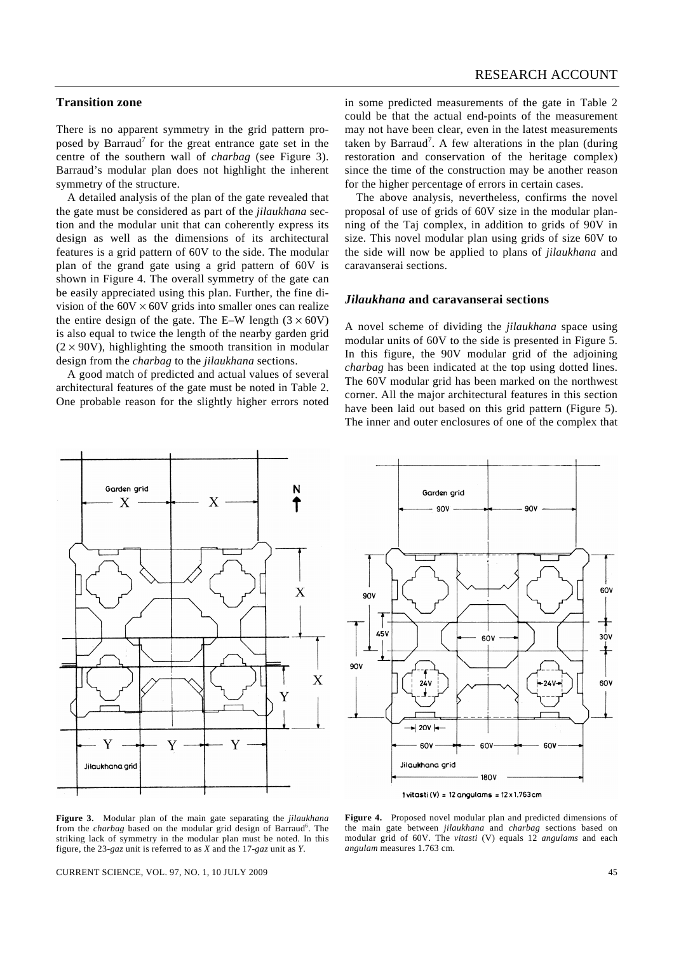## **Transition zone**

There is no apparent symmetry in the grid pattern proposed by Barraud<sup>7</sup> for the great entrance gate set in the centre of the southern wall of *charbag* (see Figure 3). Barraud's modular plan does not highlight the inherent symmetry of the structure.

 A detailed analysis of the plan of the gate revealed that the gate must be considered as part of the *jilaukhana* section and the modular unit that can coherently express its design as well as the dimensions of its architectural features is a grid pattern of 60V to the side. The modular plan of the grand gate using a grid pattern of 60V is shown in Figure 4. The overall symmetry of the gate can be easily appreciated using this plan. Further, the fine division of the  $60V \times 60V$  grids into smaller ones can realize the entire design of the gate. The E–W length  $(3 \times 60V)$ is also equal to twice the length of the nearby garden grid  $(2 \times 90V)$ , highlighting the smooth transition in modular design from the *charbag* to the *jilaukhana* sections.

 A good match of predicted and actual values of several architectural features of the gate must be noted in Table 2. One probable reason for the slightly higher errors noted in some predicted measurements of the gate in Table 2 could be that the actual end-points of the measurement may not have been clear, even in the latest measurements taken by Barraud<sup>7</sup>. A few alterations in the plan (during restoration and conservation of the heritage complex) since the time of the construction may be another reason for the higher percentage of errors in certain cases.

 The above analysis, nevertheless, confirms the novel proposal of use of grids of 60V size in the modular planning of the Taj complex, in addition to grids of 90V in size. This novel modular plan using grids of size 60V to the side will now be applied to plans of *jilaukhana* and caravanserai sections.

#### *Jilaukhana* **and caravanserai sections**

A novel scheme of dividing the *jilaukhana* space using modular units of 60V to the side is presented in Figure 5. In this figure, the 90V modular grid of the adjoining *charbag* has been indicated at the top using dotted lines. The 60V modular grid has been marked on the northwest corner. All the major architectural features in this section have been laid out based on this grid pattern (Figure 5). The inner and outer enclosures of one of the complex that





1 vitasti (V) = 12 angulams =  $12 \times 1.763$  cm

**Figure 3.** Modular plan of the main gate separating the *jilaukhana* from the *charbag* based on the modular grid design of Barraud<sup>6</sup>. The striking lack of symmetry in the modular plan must be noted. In this figure, the 23-*gaz* unit is referred to as *X* and the 17-*gaz* unit as *Y*.

**Figure 4.** Proposed novel modular plan and predicted dimensions of the main gate between *jilaukhana* and *charbag* sections based on modular grid of 60V. The *vitasti* (V) equals 12 *angulams* and each *angulam* measures 1.763 cm.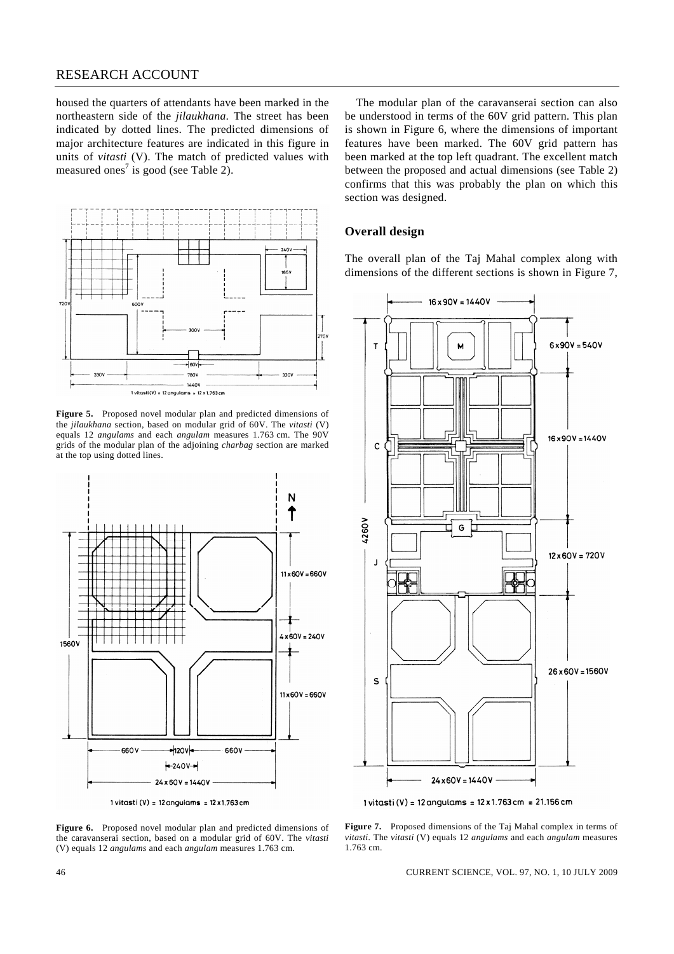## RESEARCH ACCOUNT

housed the quarters of attendants have been marked in the northeastern side of the *jilaukhana*. The street has been indicated by dotted lines. The predicted dimensions of major architecture features are indicated in this figure in units of *vitasti* (V). The match of predicted values with measured ones<sup>7</sup> is good (see Table 2).



**Figure 5.** Proposed novel modular plan and predicted dimensions of the *jilaukhana* section, based on modular grid of 60V. The *vitasti* (V) equals 12 *angulams* and each *angulam* measures 1.763 cm. The 90V grids of the modular plan of the adjoining *charbag* section are marked at the top using dotted lines.



1 vitasti (V) = 12 angulams =  $12 \times 1.763$  cm

**Figure 6.** Proposed novel modular plan and predicted dimensions of the caravanserai section, based on a modular grid of 60V. The *vitasti* (V) equals 12 *angulams* and each *angulam* measures 1.763 cm.

 The modular plan of the caravanserai section can also be understood in terms of the 60V grid pattern. This plan is shown in Figure 6, where the dimensions of important features have been marked. The 60V grid pattern has been marked at the top left quadrant. The excellent match between the proposed and actual dimensions (see Table 2) confirms that this was probably the plan on which this section was designed.

### **Overall design**

The overall plan of the Taj Mahal complex along with dimensions of the different sections is shown in Figure 7,



1 vitasti (V) = 12 angulams =  $12 \times 1.763$  cm = 21.156 cm

**Figure 7.** Proposed dimensions of the Taj Mahal complex in terms of *vitasti.* The *vitasti* (V) equals 12 *angulams* and each *angulam* measures 1.763 cm.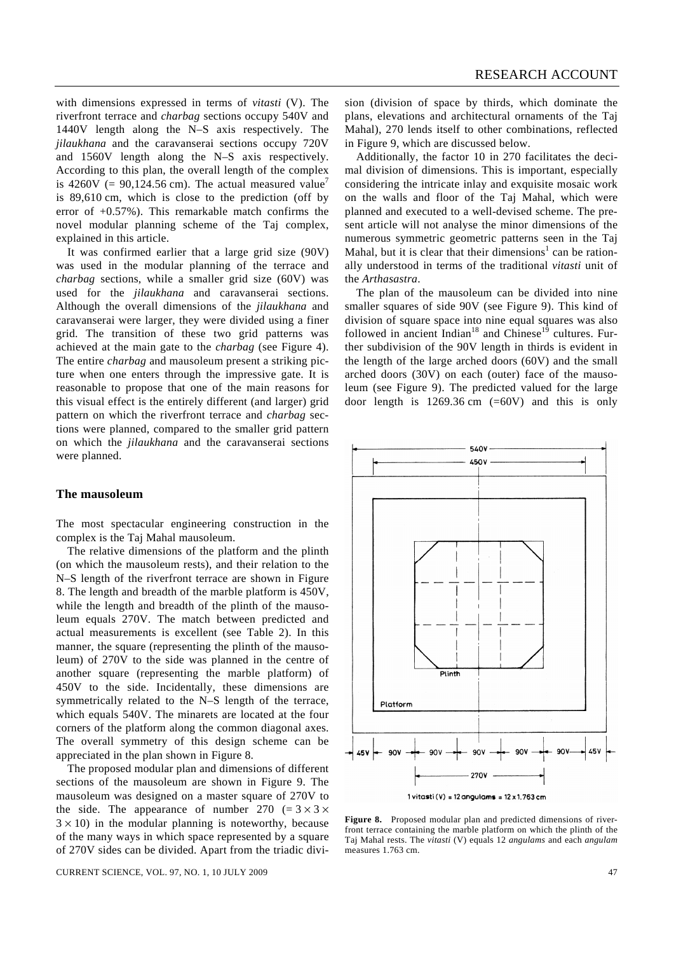with dimensions expressed in terms of *vitasti* (V). The riverfront terrace and *charbag* sections occupy 540V and 1440V length along the N–S axis respectively. The *jilaukhana* and the caravanserai sections occupy 720V and 1560V length along the N–S axis respectively. According to this plan, the overall length of the complex is 4260V (= 90,124.56 cm). The actual measured value<sup>7</sup> is 89,610 cm, which is close to the prediction (off by error of +0.57%). This remarkable match confirms the novel modular planning scheme of the Taj complex, explained in this article.

 It was confirmed earlier that a large grid size (90V) was used in the modular planning of the terrace and *charbag* sections, while a smaller grid size (60V) was used for the *jilaukhana* and caravanserai sections. Although the overall dimensions of the *jilaukhana* and caravanserai were larger, they were divided using a finer grid. The transition of these two grid patterns was achieved at the main gate to the *charbag* (see Figure 4). The entire *charbag* and mausoleum present a striking picture when one enters through the impressive gate. It is reasonable to propose that one of the main reasons for this visual effect is the entirely different (and larger) grid pattern on which the riverfront terrace and *charbag* sections were planned, compared to the smaller grid pattern on which the *jilaukhana* and the caravanserai sections were planned.

#### **The mausoleum**

The most spectacular engineering construction in the complex is the Taj Mahal mausoleum.

 The relative dimensions of the platform and the plinth (on which the mausoleum rests), and their relation to the N–S length of the riverfront terrace are shown in Figure 8. The length and breadth of the marble platform is 450V, while the length and breadth of the plinth of the mausoleum equals 270V. The match between predicted and actual measurements is excellent (see Table 2). In this manner, the square (representing the plinth of the mausoleum) of 270V to the side was planned in the centre of another square (representing the marble platform) of 450V to the side. Incidentally, these dimensions are symmetrically related to the N–S length of the terrace, which equals 540V. The minarets are located at the four corners of the platform along the common diagonal axes. The overall symmetry of this design scheme can be appreciated in the plan shown in Figure 8.

 The proposed modular plan and dimensions of different sections of the mausoleum are shown in Figure 9. The mausoleum was designed on a master square of 270V to the side. The appearance of number 270 (=  $3 \times 3 \times$  $3 \times 10$ ) in the modular planning is noteworthy, because of the many ways in which space represented by a square of 270V sides can be divided. Apart from the triadic divi-

CURRENT SCIENCE, VOL. 97, NO. 1, 10 JULY 2009 47

sion (division of space by thirds, which dominate the plans, elevations and architectural ornaments of the Taj Mahal), 270 lends itself to other combinations, reflected in Figure 9, which are discussed below.

 Additionally, the factor 10 in 270 facilitates the decimal division of dimensions. This is important, especially considering the intricate inlay and exquisite mosaic work on the walls and floor of the Taj Mahal, which were planned and executed to a well-devised scheme. The present article will not analyse the minor dimensions of the numerous symmetric geometric patterns seen in the Taj Mahal, but it is clear that their dimensions<sup>1</sup> can be rationally understood in terms of the traditional *vitasti* unit of the *Arthasastra*.

 The plan of the mausoleum can be divided into nine smaller squares of side 90V (see Figure 9). This kind of division of square space into nine equal squares was also followed in ancient Indian<sup>18</sup> and Chinese<sup>19</sup> cultures. Further subdivision of the 90V length in thirds is evident in the length of the large arched doors (60V) and the small arched doors (30V) on each (outer) face of the mausoleum (see Figure 9). The predicted valued for the large door length is  $1269.36$  cm  $(=60V)$  and this is only



**Figure 8.** Proposed modular plan and predicted dimensions of riverfront terrace containing the marble platform on which the plinth of the Taj Mahal rests. The *vitasti* (V) equals 12 *angulams* and each *angulam* measures 1.763 cm.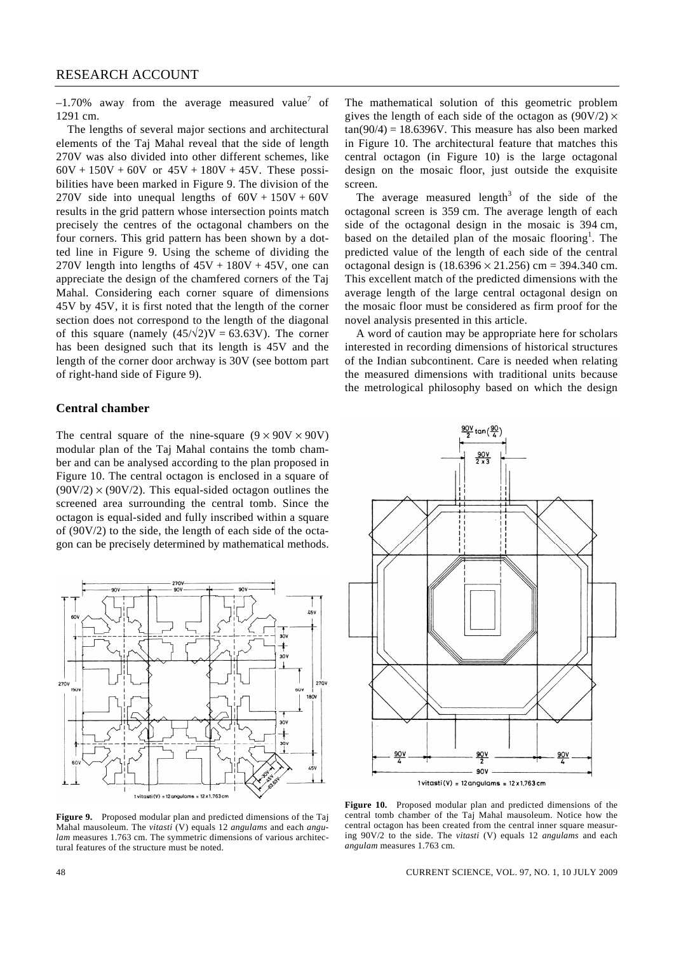$-1.70\%$  away from the average measured value<sup>7</sup> of 1291 cm.

 The lengths of several major sections and architectural elements of the Taj Mahal reveal that the side of length 270V was also divided into other different schemes, like  $60V + 150V + 60V$  or  $45V + 180V + 45V$ . These possibilities have been marked in Figure 9. The division of the 270V side into unequal lengths of  $60V + 150V + 60V$ results in the grid pattern whose intersection points match precisely the centres of the octagonal chambers on the four corners. This grid pattern has been shown by a dotted line in Figure 9. Using the scheme of dividing the 270V length into lengths of  $45V + 180V + 45V$ , one can appreciate the design of the chamfered corners of the Taj Mahal. Considering each corner square of dimensions 45V by 45V, it is first noted that the length of the corner section does not correspond to the length of the diagonal of this square (namely  $(45/\sqrt{2})V = 63.63V$ ). The corner has been designed such that its length is 45V and the length of the corner door archway is 30V (see bottom part of right-hand side of Figure 9).

### **Central chamber**

The central square of the nine-square  $(9 \times 90V \times 90V)$ modular plan of the Taj Mahal contains the tomb chamber and can be analysed according to the plan proposed in Figure 10. The central octagon is enclosed in a square of  $(90V/2) \times (90V/2)$ . This equal-sided octagon outlines the screened area surrounding the central tomb. Since the octagon is equal-sided and fully inscribed within a square of (90V/2) to the side, the length of each side of the octagon can be precisely determined by mathematical methods.



**Figure 9.** Proposed modular plan and predicted dimensions of the Taj Mahal mausoleum. The *vitasti* (V) equals 12 *angulams* and each *angulam* measures 1.763 cm. The symmetric dimensions of various architectural features of the structure must be noted.

The mathematical solution of this geometric problem gives the length of each side of the octagon as  $(90V/2) \times$  $tan(90/4) = 18.6396V$ . This measure has also been marked in Figure 10. The architectural feature that matches this central octagon (in Figure 10) is the large octagonal design on the mosaic floor, just outside the exquisite screen.

The average measured length<sup>3</sup> of the side of the octagonal screen is 359 cm. The average length of each side of the octagonal design in the mosaic is 394 cm, based on the detailed plan of the mosaic flooring<sup>1</sup>. The predicted value of the length of each side of the central octagonal design is  $(18.6396 \times 21.256)$  cm = 394.340 cm. This excellent match of the predicted dimensions with the average length of the large central octagonal design on the mosaic floor must be considered as firm proof for the novel analysis presented in this article.

 A word of caution may be appropriate here for scholars interested in recording dimensions of historical structures of the Indian subcontinent. Care is needed when relating the measured dimensions with traditional units because the metrological philosophy based on which the design



**Figure 10.** Proposed modular plan and predicted dimensions of the central tomb chamber of the Taj Mahal mausoleum. Notice how the central octagon has been created from the central inner square measuring 90V/2 to the side. The *vitasti* (V) equals 12 *angulams* and each *angulam* measures 1.763 cm.